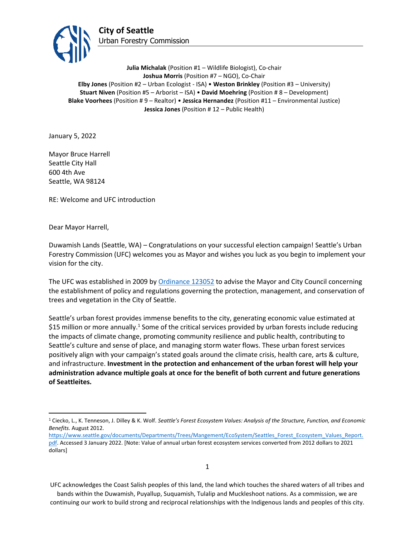

**Julia Michalak** (Position #1 – Wildlife Biologist), Co-chair **Joshua Morris** (Position #7 – NGO), Co-Chair **Elby Jones** (Position #2 – Urban Ecologist - ISA) • **Weston Brinkley** (Position #3 – University) **Stuart Niven** (Position #5 – Arborist – ISA) • **David Moehring** (Position # 8 – Development) **Blake Voorhees** (Position # 9 – Realtor) • **Jessica Hernandez** (Position #11 – Environmental Justice) **Jessica Jones** (Position # 12 – Public Health)

January 5, 2022

Mayor Bruce Harrell Seattle City Hall 600 4th Ave Seattle, WA 98124

RE: Welcome and UFC introduction

Dear Mayor Harrell,

Duwamish Lands (Seattle, WA) – Congratulations on your successful election campaign! Seattle's Urban Forestry Commission (UFC) welcomes you as Mayor and wishes you luck as you begin to implement your vision for the city.

The UFC was established in 2009 b[y Ordinance 123052](http://clerk.seattle.gov/search/ordinances/123052) to advise the Mayor and City Council concerning the establishment of policy and regulations governing the protection, management, and conservation of trees and vegetation in the City of Seattle.

Seattle's urban forest provides immense benefits to the city, generating economic value estimated at \$15 million or more annually.<sup>1</sup> Some of the critical services provided by urban forests include reducing the impacts of climate change, promoting community resilience and public health, contributing to Seattle's culture and sense of place, and managing storm water flows. These urban forest services positively align with your campaign's stated goals around the climate crisis, health care, arts & culture, and infrastructure. **Investment in the protection and enhancement of the urban forest will help your administration advance multiple goals at once for the benefit of both current and future generations of Seattleites.** 

<sup>1</sup> Ciecko, L., K. Tenneson, J. Dilley & K. Wolf. *Seattle's Forest Ecosystem Values: Analysis of the Structure, Function, and Economic Benefits.* August 2012.

[https://www.seattle.gov/documents/Departments/Trees/Mangement/EcoSystem/Seattles\\_Forest\\_Ecosystem\\_Values\\_Report.](https://www.seattle.gov/documents/Departments/Trees/Mangement/EcoSystem/Seattles_Forest_Ecosystem_Values_Report.pdf) [pdf.](https://www.seattle.gov/documents/Departments/Trees/Mangement/EcoSystem/Seattles_Forest_Ecosystem_Values_Report.pdf) Accessed 3 January 2022. [Note: Value of annual urban forest ecosystem services converted from 2012 dollars to 2021 dollars]

UFC acknowledges the Coast Salish peoples of this land, the land which touches the shared waters of all tribes and bands within the Duwamish, Puyallup, Suquamish, Tulalip and Muckleshoot nations. As a commission, we are continuing our work to build strong and reciprocal relationships with the Indigenous lands and peoples of this city.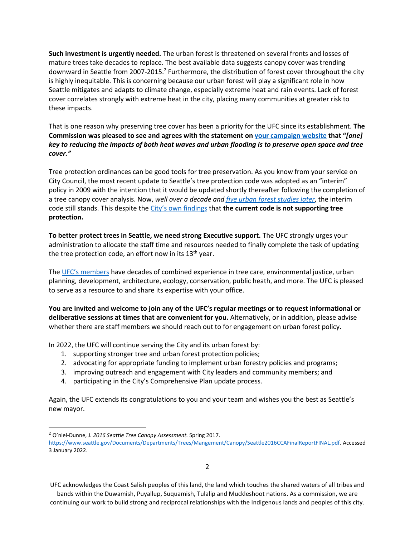**Such investment is urgently needed.** The urban forest is threatened on several fronts and losses of mature trees take decades to replace. The best available data suggests canopy cover was trending downward in Seattle from 2007-2015.<sup>2</sup> Furthermore, the distribution of forest cover throughout the city is highly inequitable. This is concerning because our urban forest will play a significant role in how Seattle mitigates and adapts to climate change, especially extreme heat and rain events. Lack of forest cover correlates strongly with extreme heat in the city, placing many communities at greater risk to these impacts.

That is one reason why preserving tree cover has been a priority for the UFC since its establishment. **The Commission was pleased to see and agrees with the statement o[n your campaign website](https://www.bruceforseattle.com/issue/taking-on-the-climate-crisis/) that "***[one] key to reducing the impacts of both heat waves and urban flooding is to preserve open space and tree cover."*

Tree protection ordinances can be good tools for tree preservation. As you know from your service on City Council, the most recent update to Seattle's tree protection code was adopted as an "interim" policy in 2009 with the intention that it would be updated shortly thereafter following the completion of a tree canopy cover analysis. Now, *well over a decade an[d five urban forest studies later](https://www.invw.org/2017/06/27/seattles-tree-canopy-studies/)*, the interim code still stands. This despite the [City's own findings](https://www.seattle.gov/Documents/Departments/UrbanForestryCommission/Resources/TreeRegsResearchProjectPhaseIIFinalReport033117.pdf) that **the current code is not supporting tree protection.**

**To better protect trees in Seattle, we need strong Executive support.** The UFC strongly urges your administration to allocate the staff time and resources needed to finally complete the task of updating the tree protection code, an effort now in its  $13<sup>th</sup>$  year.

The [UFC's members](https://www.seattle.gov/urbanforestrycommission/membershipandroster) have decades of combined experience in tree care, environmental justice, urban planning, development, architecture, ecology, conservation, public heath, and more. The UFC is pleased to serve as a resource to and share its expertise with your office.

**You are invited and welcome to join any of the UFC's regular meetings or to request informational or deliberative sessions at times that are convenient for you.** Alternatively, or in addition, please advise whether there are staff members we should reach out to for engagement on urban forest policy.

In 2022, the UFC will continue serving the City and its urban forest by:

- 1. supporting stronger tree and urban forest protection policies;
- 2. advocating for appropriate funding to implement urban forestry policies and programs;
- 3. improving outreach and engagement with City leaders and community members; and
- 4. participating in the City's Comprehensive Plan update process.

Again, the UFC extends its congratulations to you and your team and wishes you the best as Seattle's new mayor.

<sup>2</sup> O'niel-Dunne, J. *2016 Seattle Tree Canopy Assessment.* Spring 2017. [https://www.seattle.gov/Documents/Departments/Trees/Mangement/Canopy/Seattle2016CCAFinalReportFINAL.pdf.](https://www.seattle.gov/Documents/Departments/Trees/Mangement/Canopy/Seattle2016CCAFinalReportFINAL.pdf) Accessed 3 January 2022.

UFC acknowledges the Coast Salish peoples of this land, the land which touches the shared waters of all tribes and bands within the Duwamish, Puyallup, Suquamish, Tulalip and Muckleshoot nations. As a commission, we are

continuing our work to build strong and reciprocal relationships with the Indigenous lands and peoples of this city.